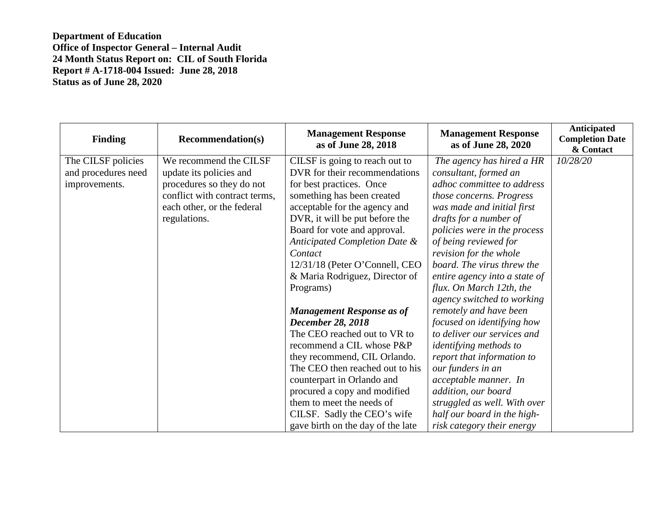| <b>Finding</b>      | <b>Recommendation(s)</b>      | <b>Management Response</b><br>as of June 28, 2018 | <b>Management Response</b><br>as of June 28, 2020 | Anticipated<br><b>Completion Date</b><br>& Contact |
|---------------------|-------------------------------|---------------------------------------------------|---------------------------------------------------|----------------------------------------------------|
| The CILSF policies  | We recommend the CILSF        | CILSF is going to reach out to                    | The agency has hired a HR                         | 10/28/20                                           |
| and procedures need | update its policies and       | DVR for their recommendations                     | consultant, formed an                             |                                                    |
| improvements.       | procedures so they do not     | for best practices. Once                          | adhoc committee to address                        |                                                    |
|                     | conflict with contract terms, | something has been created                        | those concerns. Progress                          |                                                    |
|                     | each other, or the federal    | acceptable for the agency and                     | was made and initial first                        |                                                    |
|                     | regulations.                  | DVR, it will be put before the                    | drafts for a number of                            |                                                    |
|                     |                               | Board for vote and approval.                      | policies were in the process                      |                                                    |
|                     |                               | Anticipated Completion Date &                     | of being reviewed for                             |                                                    |
|                     |                               | Contact                                           | revision for the whole                            |                                                    |
|                     |                               | 12/31/18 (Peter O'Connell, CEO                    | board. The virus threw the                        |                                                    |
|                     |                               | & Maria Rodriguez, Director of                    | entire agency into a state of                     |                                                    |
|                     |                               | Programs)                                         | flux. On March 12th, the                          |                                                    |
|                     |                               |                                                   | agency switched to working                        |                                                    |
|                     |                               | <b>Management Response as of</b>                  | remotely and have been                            |                                                    |
|                     |                               | <b>December 28, 2018</b>                          | focused on identifying how                        |                                                    |
|                     |                               | The CEO reached out to VR to                      | to deliver our services and                       |                                                    |
|                     |                               | recommend a CIL whose P&P                         | <i>identifying methods to</i>                     |                                                    |
|                     |                               | they recommend, CIL Orlando.                      | report that information to                        |                                                    |
|                     |                               | The CEO then reached out to his                   | our funders in an                                 |                                                    |
|                     |                               | counterpart in Orlando and                        | acceptable manner. In                             |                                                    |
|                     |                               | procured a copy and modified                      | addition, our board                               |                                                    |
|                     |                               | them to meet the needs of                         | struggled as well. With over                      |                                                    |
|                     |                               | CILSF. Sadly the CEO's wife                       | half our board in the high-                       |                                                    |
|                     |                               | gave birth on the day of the late                 | risk category their energy                        |                                                    |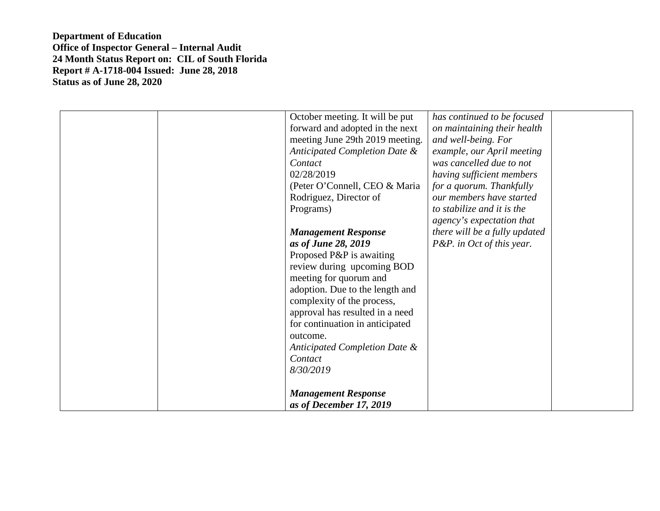| October meeting. It will be put<br>forward and adopted in the next<br>meeting June 29th 2019 meeting.<br>Anticipated Completion Date &<br>Contact<br>02/28/2019<br>(Peter O'Connell, CEO & Maria<br>Rodriguez, Director of<br>Programs)<br><b>Management Response</b><br>as of June 28, 2019<br>Proposed P&P is awaiting<br>review during upcoming BOD<br>meeting for quorum and<br>adoption. Due to the length and<br>complexity of the process,<br>approval has resulted in a need<br>for continuation in anticipated<br>outcome.<br>Anticipated Completion Date &<br>Contact<br>8/30/2019 | has continued to be focused<br>on maintaining their health<br>and well-being. For<br>example, our April meeting<br>was cancelled due to not<br>having sufficient members<br>for a quorum. Thankfully<br>our members have started<br>to stabilize and it is the<br>agency's expectation that<br>there will be a fully updated<br>P&P. in Oct of this year. |
|----------------------------------------------------------------------------------------------------------------------------------------------------------------------------------------------------------------------------------------------------------------------------------------------------------------------------------------------------------------------------------------------------------------------------------------------------------------------------------------------------------------------------------------------------------------------------------------------|-----------------------------------------------------------------------------------------------------------------------------------------------------------------------------------------------------------------------------------------------------------------------------------------------------------------------------------------------------------|
| <b>Management Response</b><br>as of December 17, 2019                                                                                                                                                                                                                                                                                                                                                                                                                                                                                                                                        |                                                                                                                                                                                                                                                                                                                                                           |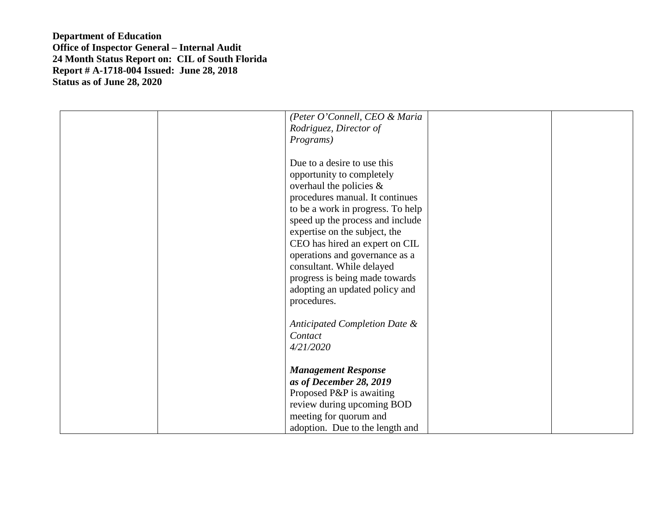| (Peter O'Connell, CEO & Maria<br>Rodriguez, Director of                                                                                                                                                                                                                                                                                                                                                                 |
|-------------------------------------------------------------------------------------------------------------------------------------------------------------------------------------------------------------------------------------------------------------------------------------------------------------------------------------------------------------------------------------------------------------------------|
| Programs)                                                                                                                                                                                                                                                                                                                                                                                                               |
| Due to a desire to use this<br>opportunity to completely<br>overhaul the policies $\&$<br>procedures manual. It continues<br>to be a work in progress. To help<br>speed up the process and include<br>expertise on the subject, the<br>CEO has hired an expert on CIL<br>operations and governance as a<br>consultant. While delayed<br>progress is being made towards<br>adopting an updated policy and<br>procedures. |
| Anticipated Completion Date &                                                                                                                                                                                                                                                                                                                                                                                           |
| Contact                                                                                                                                                                                                                                                                                                                                                                                                                 |
| 4/21/2020                                                                                                                                                                                                                                                                                                                                                                                                               |
|                                                                                                                                                                                                                                                                                                                                                                                                                         |
| <b>Management Response</b>                                                                                                                                                                                                                                                                                                                                                                                              |
| as of December 28, 2019                                                                                                                                                                                                                                                                                                                                                                                                 |
| Proposed P&P is awaiting                                                                                                                                                                                                                                                                                                                                                                                                |
| review during upcoming BOD<br>meeting for quorum and                                                                                                                                                                                                                                                                                                                                                                    |
| adoption. Due to the length and                                                                                                                                                                                                                                                                                                                                                                                         |
|                                                                                                                                                                                                                                                                                                                                                                                                                         |